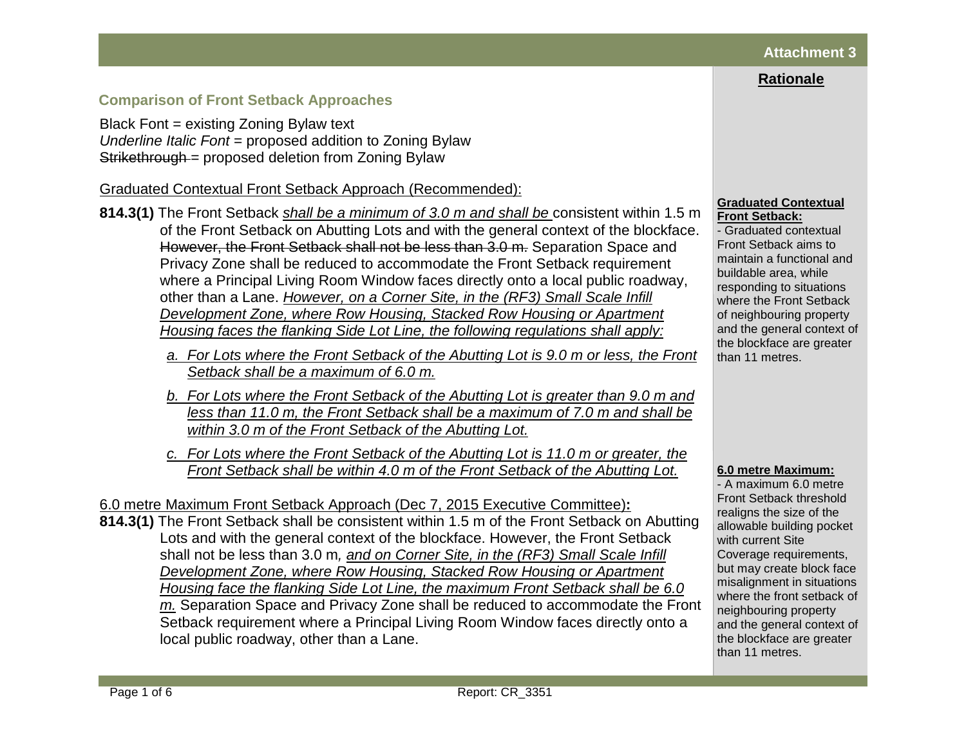# **Attachment 3**

# **Rationale**

# **Comparison of Front Setback Approaches**

Black Font = existing Zoning Bylaw text *Underline Italic Font* = proposed addition to Zoning Bylaw Strikethrough = proposed deletion from Zoning Bylaw

Graduated Contextual Front Setback Approach (Recommended):

- **814.3(1)** The Front Setback *shall be a minimum of 3.0 m and shall be* consistent within 1.5 m of the Front Setback on Abutting Lots and with the general context of the blockface. However, the Front Setback shall not be less than 3.0 m. Separation Space and Privacy Zone shall be reduced to accommodate the Front Setback requirement where a Principal Living Room Window faces directly onto a local public roadway, other than a Lane. *However, on a Corner Site, in the (RF3) Small Scale Infill Development Zone, where Row Housing, Stacked Row Housing or Apartment Housing faces the flanking Side Lot Line, the following regulations shall apply:*
	- *a. For Lots where the Front Setback of the Abutting Lot is 9.0 m or less, the Front Setback shall be a maximum of 6.0 m.*
	- *b. For Lots where the Front Setback of the Abutting Lot is greater than 9.0 m and less than 11.0 m, the Front Setback shall be a maximum of 7.0 m and shall be within 3.0 m of the Front Setback of the Abutting Lot.*
	- *c. For Lots where the Front Setback of the Abutting Lot is 11.0 m or greater, the Front Setback shall be within 4.0 m of the Front Setback of the Abutting Lot.*

6.0 metre Maximum Front Setback Approach (Dec 7, 2015 Executive Committee)**: 814.3(1)** The Front Setback shall be consistent within 1.5 m of the Front Setback on Abutting Lots and with the general context of the blockface. However, the Front Setback shall not be less than 3.0 m*, and on Corner Site, in the (RF3) Small Scale Infill Development Zone, where Row Housing, Stacked Row Housing or Apartment Housing face the flanking Side Lot Line, the maximum Front Setback shall be 6.0 m.* Separation Space and Privacy Zone shall be reduced to accommodate the Front Setback requirement where a Principal Living Room Window faces directly onto a local public roadway, other than a Lane.

#### **Graduated Contextual Front Setback:**

- Graduated contextual Front Setback aims to maintain a functional and buildable area, while responding to situations where the Front Setback of neighbouring property and the general context of the blockface are greater than 11 metres.

### **6.0 metre Maximum:**

- A maximum 6.0 metre Front Setback threshold realigns the size of the allowable building pocket with current Site Coverage requirements, but may create block face misalignment in situations where the front setback of neighbouring property and the general context of the blockface are greater than 11 metres.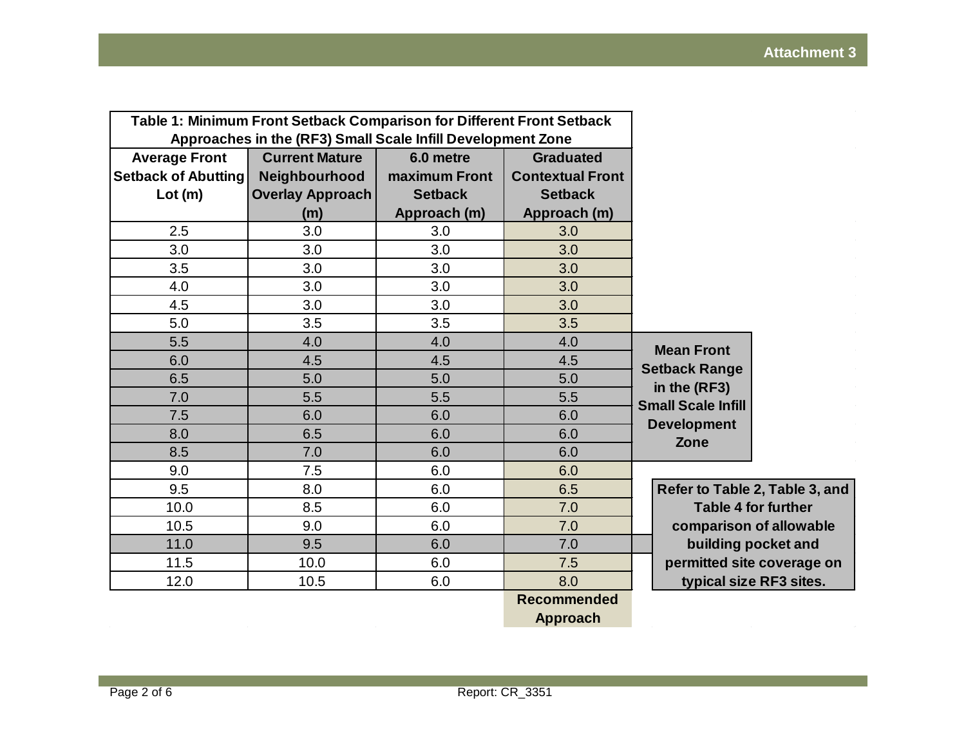| Table 1: Minimum Front Setback Comparison for Different Front Setback |                       |                |                         |                                |  |
|-----------------------------------------------------------------------|-----------------------|----------------|-------------------------|--------------------------------|--|
| Approaches in the (RF3) Small Scale Infill Development Zone           |                       |                |                         |                                |  |
| <b>Average Front</b>                                                  | <b>Current Mature</b> | 6.0 metre      | <b>Graduated</b>        |                                |  |
| Setback of Abutting                                                   | Neighbourhood         | maximum Front  | <b>Contextual Front</b> |                                |  |
| Lot(m)                                                                | Overlay Approach      | <b>Setback</b> | <b>Setback</b>          |                                |  |
|                                                                       | (m)                   | Approach (m)   | Approach (m)            |                                |  |
| 2.5                                                                   | 3.0                   | 3.0            | 3.0                     |                                |  |
| 3.0                                                                   | 3.0                   | 3.0            | 3.0                     |                                |  |
| 3.5                                                                   | 3.0                   | 3.0            | 3.0                     |                                |  |
| 4.0                                                                   | 3.0                   | 3.0            | 3.0                     |                                |  |
| 4.5                                                                   | 3.0                   | 3.0            | 3.0                     |                                |  |
| 5.0                                                                   | 3.5                   | 3.5            | 3.5                     |                                |  |
| 5.5                                                                   | 4.0                   | 4.0            | 4.0                     | <b>Mean Front</b>              |  |
| 6.0                                                                   | 4.5                   | 4.5            | 4.5                     | <b>Setback Range</b>           |  |
| 6.5                                                                   | 5.0                   | 5.0            | 5.0                     | in the (RF3)                   |  |
| 7.0                                                                   | 5.5                   | 5.5            | 5.5                     | <b>Small Scale Infill</b>      |  |
| 7.5                                                                   | 6.0                   | 6.0            | 6.0                     | <b>Development</b>             |  |
| 8.0                                                                   | 6.5                   | 6.0            | 6.0                     | Zone                           |  |
| 8.5                                                                   | 7.0                   | 6.0            | 6.0                     |                                |  |
| 9.0                                                                   | 7.5                   | 6.0            | 6.0                     |                                |  |
| 9.5                                                                   | 8.0                   | 6.0            | 6.5                     | Refer to Table 2, Table 3, and |  |
| 10.0                                                                  | 8.5                   | 6.0            | 7.0                     | <b>Table 4 for further</b>     |  |
| 10.5                                                                  | 9.0                   | 6.0            | 7.0                     | comparison of allowable        |  |
| 11.0                                                                  | 9.5                   | 6.0            | 7.0                     | building pocket and            |  |
| 11.5                                                                  | 10.0                  | 6.0            | 7.5                     | permitted site coverage on     |  |
| 12.0                                                                  | 10.5                  | 6.0            | 8.0                     | typical size RF3 sites.        |  |
|                                                                       |                       |                | <b>Recommended</b>      |                                |  |
|                                                                       |                       |                | <b>Approach</b>         |                                |  |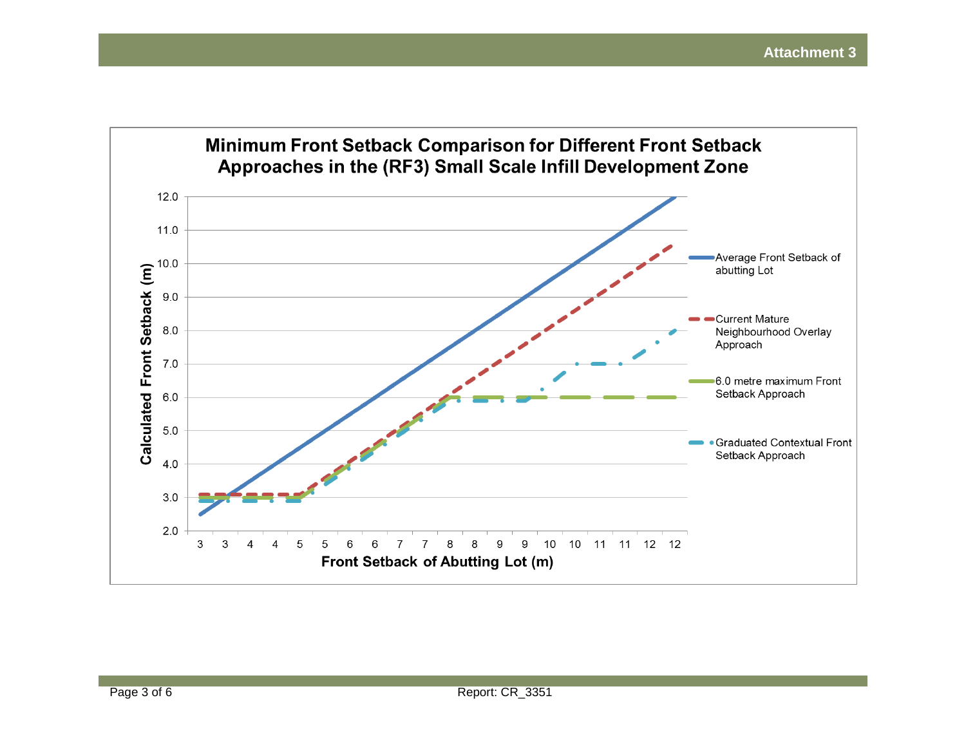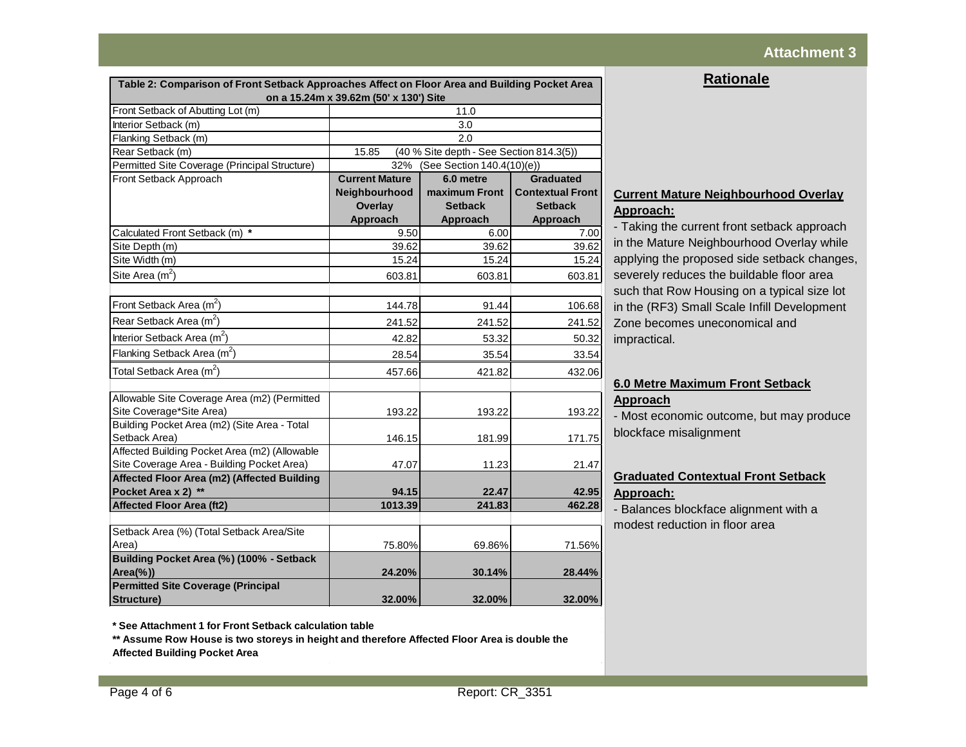# **Attachment 3**

| <b>Rationale</b> |  |  |
|------------------|--|--|
|                  |  |  |

| Table 2: Comparison of Front Setback Approaches Affect on Floor Area and Building Pocket Area<br>on a 15.24m x 39.62m (50' x 130') Site |                                                   |                |                         |  |
|-----------------------------------------------------------------------------------------------------------------------------------------|---------------------------------------------------|----------------|-------------------------|--|
| Front Setback of Abutting Lot (m)                                                                                                       |                                                   | 11.0           |                         |  |
| Interior Setback (m)                                                                                                                    | 3.0                                               |                |                         |  |
| Flanking Setback (m)                                                                                                                    | 2.0                                               |                |                         |  |
| Rear Setback (m)                                                                                                                        | (40 % Site depth - See Section 814.3(5))<br>15.85 |                |                         |  |
| Permitted Site Coverage (Principal Structure)                                                                                           | 32%<br>(See Section 140.4(10)(e))                 |                |                         |  |
| Front Setback Approach                                                                                                                  | <b>Current Mature</b>                             | 6.0 metre      | <b>Graduated</b>        |  |
|                                                                                                                                         | Neighbourhood                                     | maximum Front  | <b>Contextual Front</b> |  |
|                                                                                                                                         | <b>Overlay</b>                                    | <b>Setback</b> | <b>Setback</b>          |  |
|                                                                                                                                         | Approach                                          | Approach       | Approach                |  |
| Calculated Front Setback (m) *                                                                                                          | 9.50                                              | 6.00           | 7.00                    |  |
| Site Depth (m)                                                                                                                          | 39.62                                             | 39.62          | 39.62                   |  |
| Site Width (m)                                                                                                                          | 15.24                                             | 15.24          | 15.24                   |  |
| Site Area $(m2)$                                                                                                                        | 603.81                                            | 603.81         | 603.81                  |  |
|                                                                                                                                         |                                                   |                |                         |  |
| Front Setback Area (m <sup>2</sup> )                                                                                                    | 144.78                                            | 91.44          | 106.68                  |  |
| Rear Setback Area (m <sup>2</sup> )                                                                                                     | 241.52                                            | 241.52         | 241.52                  |  |
| Interior Setback Area $(m^2)$                                                                                                           | 42.82                                             | 53.32          | 50.32                   |  |
| Flanking Setback Area (m <sup>2</sup> )                                                                                                 | 28.54                                             | 35.54          | 33.54                   |  |
| Total Setback Area $(m^2)$                                                                                                              | 457.66                                            | 421.82         | 432.06                  |  |
| Allowable Site Coverage Area (m2) (Permitted<br>Site Coverage*Site Area)<br>Building Pocket Area (m2) (Site Area - Total                | 193.22                                            | 193.22         | 193.22                  |  |
| Setback Area)                                                                                                                           | 146.15                                            | 181.99         | 171.75                  |  |
| Affected Building Pocket Area (m2) (Allowable                                                                                           |                                                   |                |                         |  |
| Site Coverage Area - Building Pocket Area)                                                                                              | 47.07                                             | 11.23          | 21.47                   |  |
| Affected Floor Area (m2) (Affected Building                                                                                             |                                                   |                |                         |  |
| Pocket Area x 2) **                                                                                                                     | 94.15                                             | 22.47          | 42.95                   |  |
| <b>Affected Floor Area (ft2)</b>                                                                                                        | 1013.39                                           | 241.83         | 462.28                  |  |
| Setback Area (%) (Total Setback Area/Site<br>Area)                                                                                      | 75.80%                                            | 69.86%         | 71.56%                  |  |
| Building Pocket Area (%) (100% - Setback<br>$Area(\%))$                                                                                 | 24.20%                                            | 30.14%         | 28.44%                  |  |
| <b>Permitted Site Coverage (Principal</b><br>Structure)                                                                                 | 32.00%                                            | 32.00%         | 32.00%                  |  |

#### **Current Mature Neighbourhood Overlay Approach:**

- Taking the current front setback approach in the Mature Neighbourhood Overlay while applying the proposed side setback changes, severely reduces the buildable floor area such that Row Housing on a typical size lot in the (RF3) Small Scale Infill Development Zone becomes uneconomical and impractical.

# **6.0 Metre Maximum Front Setback Approach**

- Most economic outcome, but may produce blockface misalignment

# **Graduated Contextual Front Setback Approach:**

- Balances blockface alignment with a modest reduction in floor area

**\* See Attachment 1 for Front Setback calculation table**

**\*\* Assume Row House is two storeys in height and therefore Affected Floor Area is double the Affected Building Pocket Area**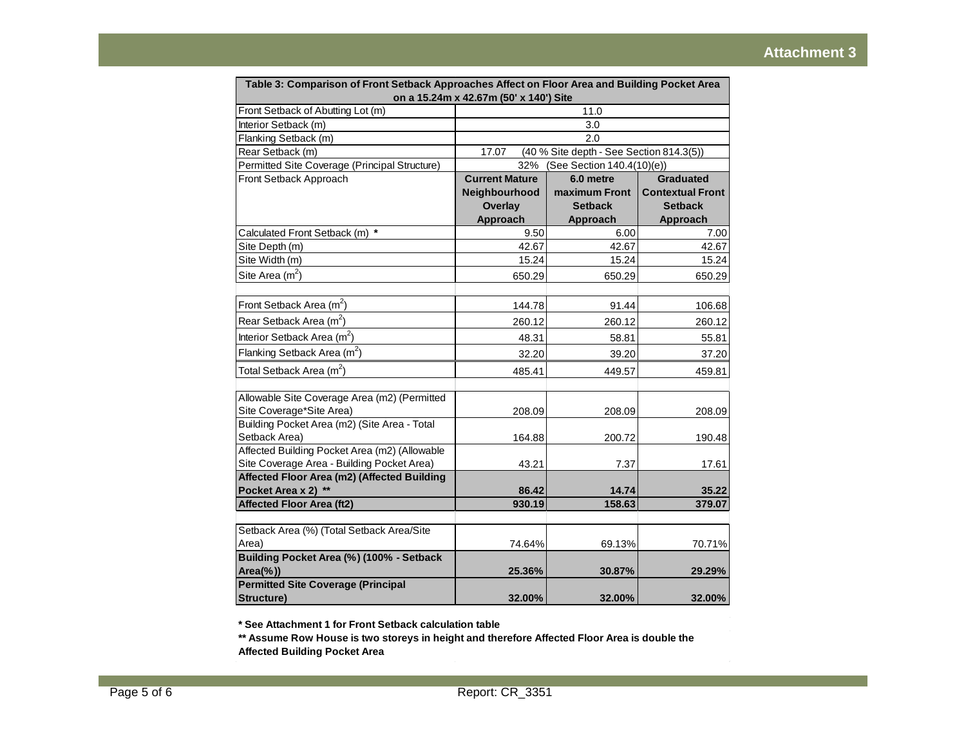| Table 3: Comparison of Front Setback Approaches Affect on Floor Area and Building Pocket Area                            | on a 15.24m x 42.67m (50' x 140') Site            |                |                         |  |
|--------------------------------------------------------------------------------------------------------------------------|---------------------------------------------------|----------------|-------------------------|--|
| Front Setback of Abutting Lot (m)                                                                                        |                                                   | 11.0           |                         |  |
| Interior Setback (m)                                                                                                     | 3.0                                               |                |                         |  |
| Flanking Setback (m)                                                                                                     | 2.0                                               |                |                         |  |
| Rear Setback (m)                                                                                                         | (40 % Site depth - See Section 814.3(5))<br>17.07 |                |                         |  |
| Permitted Site Coverage (Principal Structure)                                                                            | 32%<br>(See Section 140.4(10)(e))                 |                |                         |  |
| Front Setback Approach                                                                                                   | <b>Current Mature</b>                             | 6.0 metre      | <b>Graduated</b>        |  |
|                                                                                                                          | Neighbourhood                                     | maximum Front  | <b>Contextual Front</b> |  |
|                                                                                                                          | <b>Overlay</b>                                    | <b>Setback</b> | <b>Setback</b>          |  |
|                                                                                                                          | Approach                                          | Approach       | Approach                |  |
| Calculated Front Setback (m) *                                                                                           | 9.50                                              | 6.00           | 7.00                    |  |
| Site Depth (m)                                                                                                           | 42.67                                             | 42.67          | 42.67                   |  |
| Site Width (m)                                                                                                           | 15.24                                             | 15.24          | 15.24                   |  |
| Site Area $(m^2)$                                                                                                        | 650.29                                            | 650.29         | 650.29                  |  |
|                                                                                                                          |                                                   |                |                         |  |
| Front Setback Area (m <sup>2</sup> )                                                                                     | 144.78                                            | 91.44          | 106.68                  |  |
| Rear Setback Area (m <sup>2</sup> )                                                                                      | 260.12                                            | 260.12         | 260.12                  |  |
| Interior Setback Area $(m^2)$                                                                                            | 48.31                                             | 58.81          | 55.81                   |  |
| Flanking Setback Area (m <sup>2</sup> )                                                                                  | 32.20                                             | 39.20          | 37.20                   |  |
| Total Setback Area (m <sup>2</sup> )                                                                                     | 485.41                                            | 449.57         | 459.81                  |  |
| Allowable Site Coverage Area (m2) (Permitted<br>Site Coverage*Site Area)<br>Building Pocket Area (m2) (Site Area - Total | 208.09                                            | 208.09         | 208.09                  |  |
| Setback Area)                                                                                                            | 164.88                                            | 200.72         | 190.48                  |  |
| Affected Building Pocket Area (m2) (Allowable                                                                            |                                                   |                |                         |  |
| Site Coverage Area - Building Pocket Area)                                                                               | 43.21                                             | 7.37           | 17.61                   |  |
| Affected Floor Area (m2) (Affected Building                                                                              |                                                   |                |                         |  |
| Pocket Area x 2) **                                                                                                      | 86.42                                             | 14.74          | 35.22                   |  |
| <b>Affected Floor Area (ft2)</b>                                                                                         | 930.19                                            | 158.63         | 379.07                  |  |
|                                                                                                                          |                                                   |                |                         |  |
| Setback Area (%) (Total Setback Area/Site                                                                                |                                                   |                |                         |  |
| Area)                                                                                                                    | 74.64%                                            | 69.13%         | 70.71%                  |  |
| Building Pocket Area (%) (100% - Setback                                                                                 |                                                   |                |                         |  |
| $Area(\%))$                                                                                                              | 25.36%                                            | 30.87%         | 29.29%                  |  |
| <b>Permitted Site Coverage (Principal</b><br>Structure)                                                                  | 32.00%                                            | 32.00%         | 32.00%                  |  |

**\* See Attachment 1 for Front Setback calculation table**

**\*\* Assume Row House is two storeys in height and therefore Affected Floor Area is double the Affected Building Pocket Area**